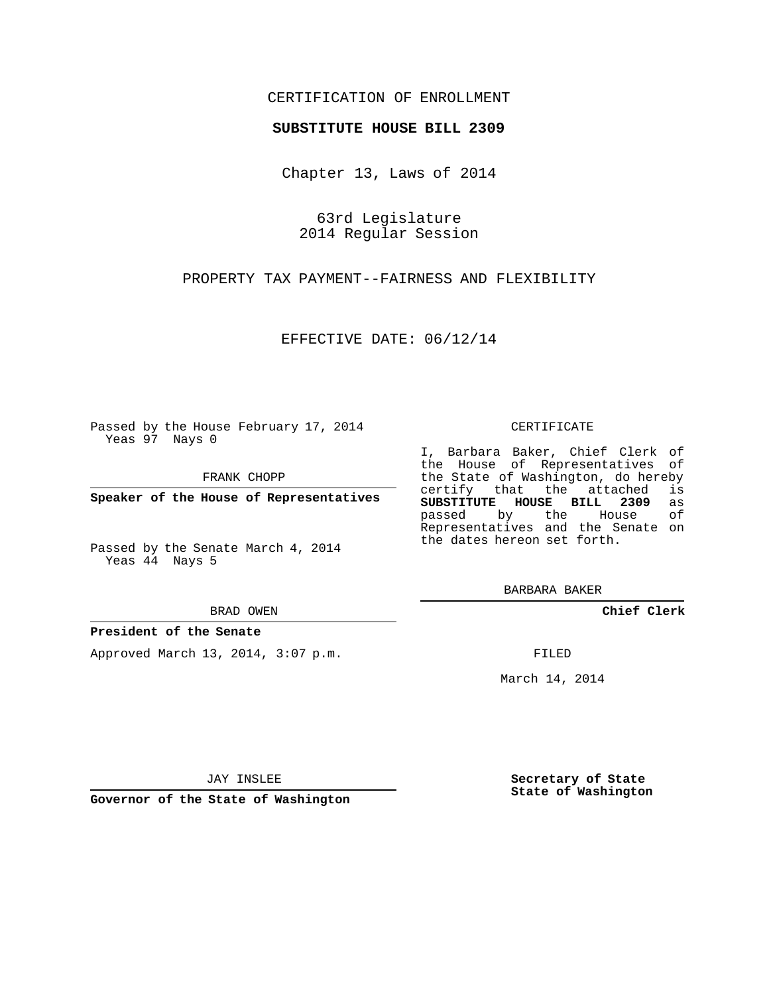## CERTIFICATION OF ENROLLMENT

#### **SUBSTITUTE HOUSE BILL 2309**

Chapter 13, Laws of 2014

63rd Legislature 2014 Regular Session

PROPERTY TAX PAYMENT--FAIRNESS AND FLEXIBILITY

EFFECTIVE DATE: 06/12/14

Passed by the House February 17, 2014 Yeas 97 Nays 0

FRANK CHOPP

**Speaker of the House of Representatives**

Passed by the Senate March 4, 2014 Yeas 44 Nays 5

BRAD OWEN

#### **President of the Senate**

Approved March 13, 2014, 3:07 p.m.

CERTIFICATE

I, Barbara Baker, Chief Clerk of the House of Representatives of the State of Washington, do hereby<br>certify that the attached is certify that the attached **SUBSTITUTE HOUSE BILL 2309** as passed by the House of Representatives and the Senate on the dates hereon set forth.

BARBARA BAKER

**Chief Clerk**

FILED

March 14, 2014

JAY INSLEE

**Governor of the State of Washington**

**Secretary of State State of Washington**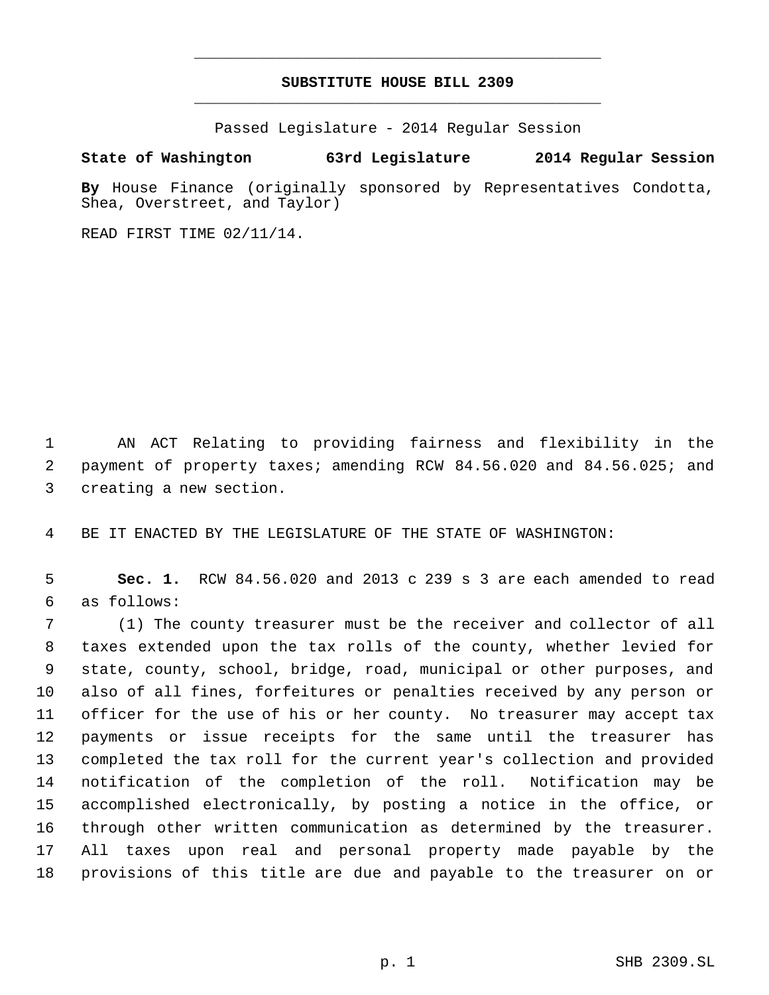# **SUBSTITUTE HOUSE BILL 2309** \_\_\_\_\_\_\_\_\_\_\_\_\_\_\_\_\_\_\_\_\_\_\_\_\_\_\_\_\_\_\_\_\_\_\_\_\_\_\_\_\_\_\_\_\_

\_\_\_\_\_\_\_\_\_\_\_\_\_\_\_\_\_\_\_\_\_\_\_\_\_\_\_\_\_\_\_\_\_\_\_\_\_\_\_\_\_\_\_\_\_

Passed Legislature - 2014 Regular Session

### **State of Washington 63rd Legislature 2014 Regular Session**

**By** House Finance (originally sponsored by Representatives Condotta, Shea, Overstreet, and Taylor)

READ FIRST TIME 02/11/14.

 AN ACT Relating to providing fairness and flexibility in the payment of property taxes; amending RCW 84.56.020 and 84.56.025; and creating a new section.

BE IT ENACTED BY THE LEGISLATURE OF THE STATE OF WASHINGTON:

 **Sec. 1.** RCW 84.56.020 and 2013 c 239 s 3 are each amended to read as follows:

 (1) The county treasurer must be the receiver and collector of all taxes extended upon the tax rolls of the county, whether levied for state, county, school, bridge, road, municipal or other purposes, and also of all fines, forfeitures or penalties received by any person or officer for the use of his or her county. No treasurer may accept tax payments or issue receipts for the same until the treasurer has completed the tax roll for the current year's collection and provided notification of the completion of the roll. Notification may be accomplished electronically, by posting a notice in the office, or through other written communication as determined by the treasurer. All taxes upon real and personal property made payable by the provisions of this title are due and payable to the treasurer on or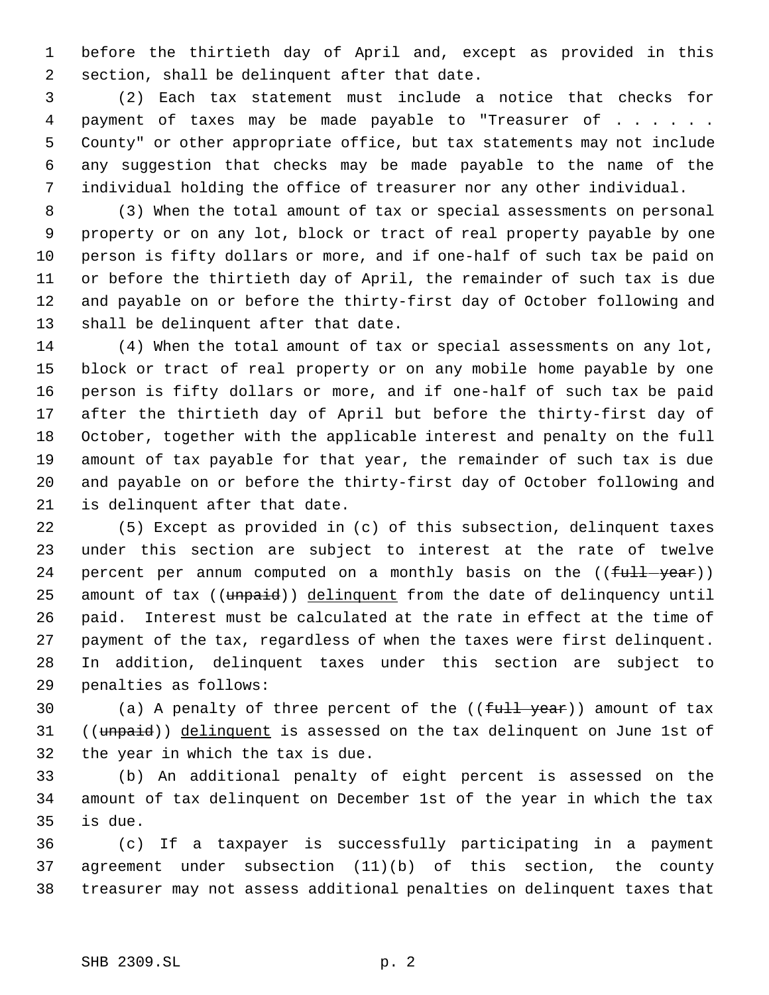before the thirtieth day of April and, except as provided in this section, shall be delinquent after that date.

 (2) Each tax statement must include a notice that checks for 4 payment of taxes may be made payable to "Treasurer of . . . . . . County" or other appropriate office, but tax statements may not include any suggestion that checks may be made payable to the name of the individual holding the office of treasurer nor any other individual.

 (3) When the total amount of tax or special assessments on personal property or on any lot, block or tract of real property payable by one person is fifty dollars or more, and if one-half of such tax be paid on or before the thirtieth day of April, the remainder of such tax is due and payable on or before the thirty-first day of October following and shall be delinquent after that date.

 (4) When the total amount of tax or special assessments on any lot, block or tract of real property or on any mobile home payable by one person is fifty dollars or more, and if one-half of such tax be paid after the thirtieth day of April but before the thirty-first day of October, together with the applicable interest and penalty on the full amount of tax payable for that year, the remainder of such tax is due and payable on or before the thirty-first day of October following and is delinquent after that date.

 (5) Except as provided in (c) of this subsection, delinquent taxes under this section are subject to interest at the rate of twelve 24 percent per annum computed on a monthly basis on the  $((full - year))$ 25 amount of tax ((unpaid)) delinquent from the date of delinquency until paid. Interest must be calculated at the rate in effect at the time of payment of the tax, regardless of when the taxes were first delinquent. In addition, delinquent taxes under this section are subject to penalties as follows:

30 (a) A penalty of three percent of the ((full year)) amount of tax 31 ((unpaid)) delinquent is assessed on the tax delinquent on June 1st of the year in which the tax is due.

 (b) An additional penalty of eight percent is assessed on the amount of tax delinquent on December 1st of the year in which the tax is due.

 (c) If a taxpayer is successfully participating in a payment agreement under subsection (11)(b) of this section, the county treasurer may not assess additional penalties on delinquent taxes that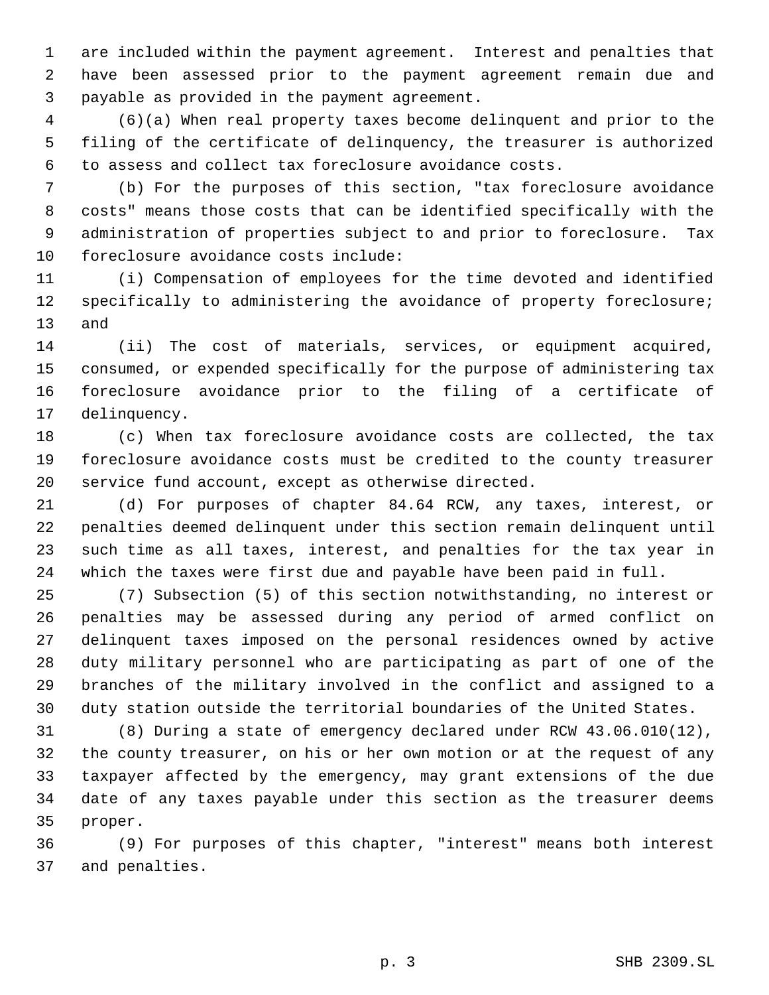are included within the payment agreement. Interest and penalties that have been assessed prior to the payment agreement remain due and payable as provided in the payment agreement.

 (6)(a) When real property taxes become delinquent and prior to the filing of the certificate of delinquency, the treasurer is authorized to assess and collect tax foreclosure avoidance costs.

 (b) For the purposes of this section, "tax foreclosure avoidance costs" means those costs that can be identified specifically with the administration of properties subject to and prior to foreclosure. Tax foreclosure avoidance costs include:

 (i) Compensation of employees for the time devoted and identified specifically to administering the avoidance of property foreclosure; and

 (ii) The cost of materials, services, or equipment acquired, consumed, or expended specifically for the purpose of administering tax foreclosure avoidance prior to the filing of a certificate of delinquency.

 (c) When tax foreclosure avoidance costs are collected, the tax foreclosure avoidance costs must be credited to the county treasurer service fund account, except as otherwise directed.

 (d) For purposes of chapter 84.64 RCW, any taxes, interest, or penalties deemed delinquent under this section remain delinquent until such time as all taxes, interest, and penalties for the tax year in which the taxes were first due and payable have been paid in full.

 (7) Subsection (5) of this section notwithstanding, no interest or penalties may be assessed during any period of armed conflict on delinquent taxes imposed on the personal residences owned by active duty military personnel who are participating as part of one of the branches of the military involved in the conflict and assigned to a duty station outside the territorial boundaries of the United States.

 (8) During a state of emergency declared under RCW 43.06.010(12), the county treasurer, on his or her own motion or at the request of any taxpayer affected by the emergency, may grant extensions of the due date of any taxes payable under this section as the treasurer deems proper.

 (9) For purposes of this chapter, "interest" means both interest and penalties.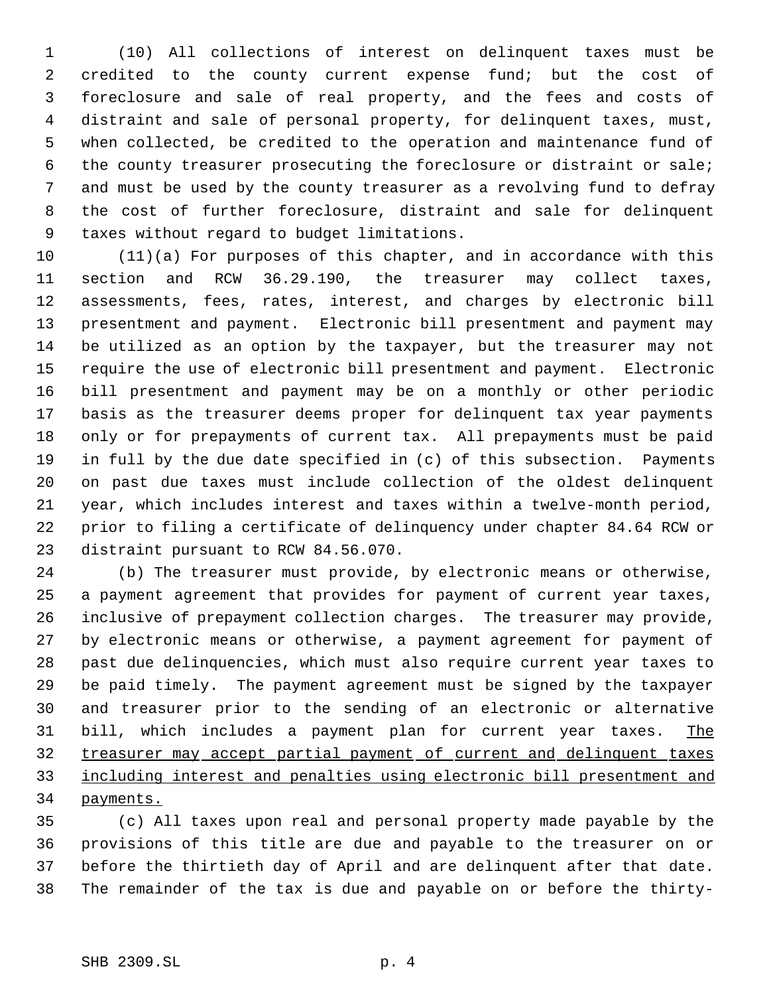(10) All collections of interest on delinquent taxes must be credited to the county current expense fund; but the cost of foreclosure and sale of real property, and the fees and costs of distraint and sale of personal property, for delinquent taxes, must, when collected, be credited to the operation and maintenance fund of the county treasurer prosecuting the foreclosure or distraint or sale; and must be used by the county treasurer as a revolving fund to defray the cost of further foreclosure, distraint and sale for delinquent taxes without regard to budget limitations.

 (11)(a) For purposes of this chapter, and in accordance with this section and RCW 36.29.190, the treasurer may collect taxes, assessments, fees, rates, interest, and charges by electronic bill presentment and payment. Electronic bill presentment and payment may be utilized as an option by the taxpayer, but the treasurer may not require the use of electronic bill presentment and payment. Electronic bill presentment and payment may be on a monthly or other periodic basis as the treasurer deems proper for delinquent tax year payments only or for prepayments of current tax. All prepayments must be paid in full by the due date specified in (c) of this subsection. Payments on past due taxes must include collection of the oldest delinquent year, which includes interest and taxes within a twelve-month period, prior to filing a certificate of delinquency under chapter 84.64 RCW or distraint pursuant to RCW 84.56.070.

 (b) The treasurer must provide, by electronic means or otherwise, a payment agreement that provides for payment of current year taxes, inclusive of prepayment collection charges. The treasurer may provide, by electronic means or otherwise, a payment agreement for payment of past due delinquencies, which must also require current year taxes to be paid timely. The payment agreement must be signed by the taxpayer and treasurer prior to the sending of an electronic or alternative 31 bill, which includes a payment plan for current year taxes. The treasurer may accept partial payment of current and delinquent taxes including interest and penalties using electronic bill presentment and payments.

 (c) All taxes upon real and personal property made payable by the provisions of this title are due and payable to the treasurer on or before the thirtieth day of April and are delinquent after that date. The remainder of the tax is due and payable on or before the thirty-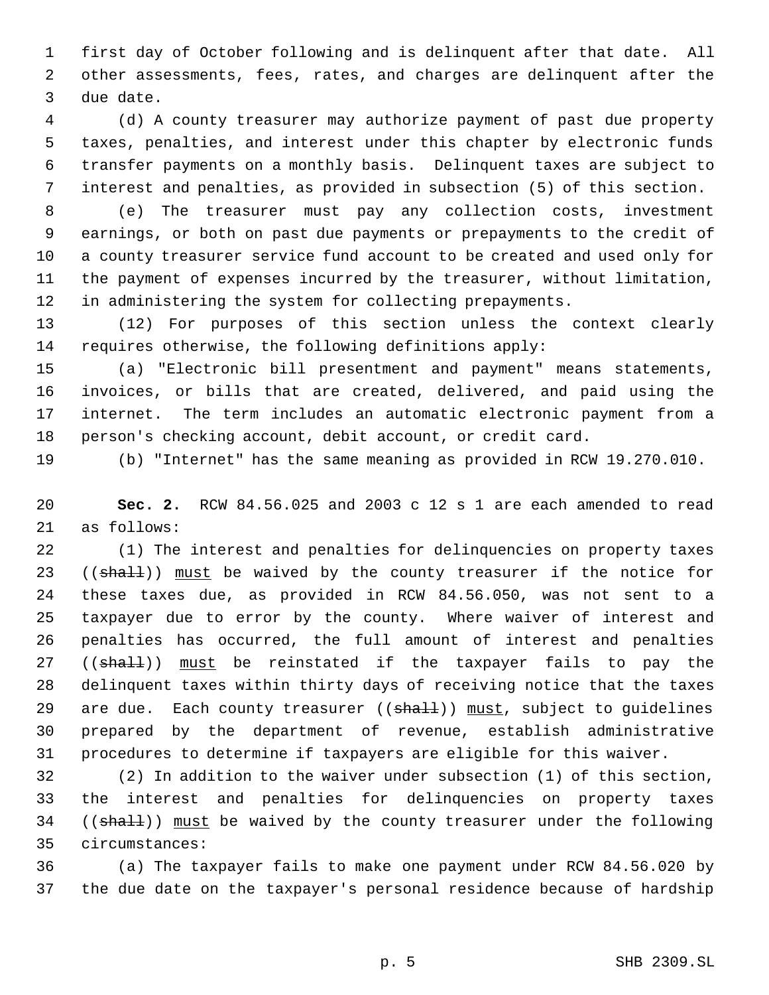first day of October following and is delinquent after that date. All other assessments, fees, rates, and charges are delinquent after the due date.

 (d) A county treasurer may authorize payment of past due property taxes, penalties, and interest under this chapter by electronic funds transfer payments on a monthly basis. Delinquent taxes are subject to interest and penalties, as provided in subsection (5) of this section.

 (e) The treasurer must pay any collection costs, investment earnings, or both on past due payments or prepayments to the credit of a county treasurer service fund account to be created and used only for the payment of expenses incurred by the treasurer, without limitation, in administering the system for collecting prepayments.

 (12) For purposes of this section unless the context clearly requires otherwise, the following definitions apply:

 (a) "Electronic bill presentment and payment" means statements, invoices, or bills that are created, delivered, and paid using the internet. The term includes an automatic electronic payment from a person's checking account, debit account, or credit card.

(b) "Internet" has the same meaning as provided in RCW 19.270.010.

 **Sec. 2.** RCW 84.56.025 and 2003 c 12 s 1 are each amended to read as follows:

 (1) The interest and penalties for delinquencies on property taxes 23 ((shall)) must be waived by the county treasurer if the notice for these taxes due, as provided in RCW 84.56.050, was not sent to a taxpayer due to error by the county. Where waiver of interest and penalties has occurred, the full amount of interest and penalties 27 ((shall)) must be reinstated if the taxpayer fails to pay the delinquent taxes within thirty days of receiving notice that the taxes 29 are due. Each county treasurer  $((shall))$  must, subject to guidelines prepared by the department of revenue, establish administrative procedures to determine if taxpayers are eligible for this waiver.

 (2) In addition to the waiver under subsection (1) of this section, the interest and penalties for delinquencies on property taxes 34 ((shall)) must be waived by the county treasurer under the following circumstances:

 (a) The taxpayer fails to make one payment under RCW 84.56.020 by the due date on the taxpayer's personal residence because of hardship